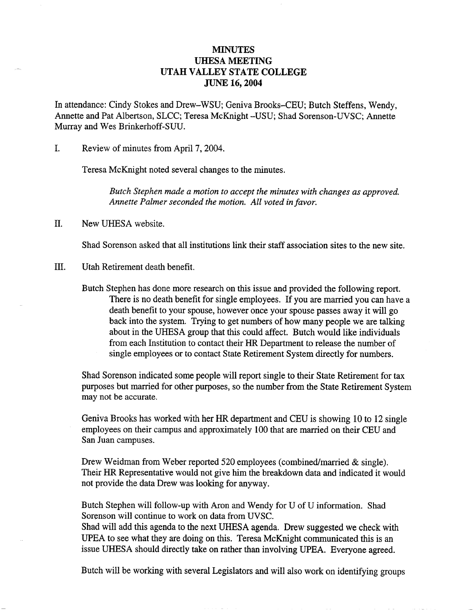## **MINUTES** UHESA MEETING UTAH VALLEY STATE COLLEGE JUNE 16,2004

In attendance: Cindy Stokes and Drew-WSU; Geniva Brooks-CEU; Butch Steffens, Wendy, Annette and Pat Albertson, SLCC; Teresa McKnight -USU; Shad Sorenson-UVSC; Annette Murray and Wes Brinkerhoff-SUU.

I. Review of minutes from April 7,2004.

Teresa McKnight noted several changes to the minutes.

*Butch Stephen made a motion to accept the minutes with changes as approved. Annette Palmer seconded the motion. All voted in favor.*

H. New UHESA website.

Shad Sorenson asked that all institutions link their staff association sites to the new site.

III. Utah Retirement death benefit.

Butch Stephen has done more research on this issue and provided the following report. There is no death benefit for single employees. If you are married you can have a death benefit to your spouse, however once your spouse passes away it will go back into the system. Trying to get numbers of how many people we are talking about in the UHESA group that this could affect. Butch would like individuals from each Institution to contact their HR Department to release the number of single employees or to contact State Retirement System directly for numbers.

Shad Sorenson indicated some people will report single to their State Retirement for tax purposes but married for other purposes, so the number from the State Retirement System may not be accurate.

Geniva Brooks has worked with her HR department and CEU is showing 10 to 12 single employees on their campus and approximately 100 that are married on their CEU and San Juan campuses.

Drew Weidman from Weber reported 520 employees (combined/married & single). Their HR Representative would not give him the breakdown data and indicated it would not provide the data Drew was looking for anyway.

Butch Stephen will follow-up with Aron and Wendy for U of U information. Shad Sorenson will continue to work on data from UVSC.

Shad will add this agenda to the next UHESA agenda. Drew suggested we check with UPEA to see what they are doing on this. Teresa McKnight communicated this is an issue UHESA should directly take on rather than involving UPEA. Everyone agreed.

Butch will be working with several Legislators and will also work on identifying groups